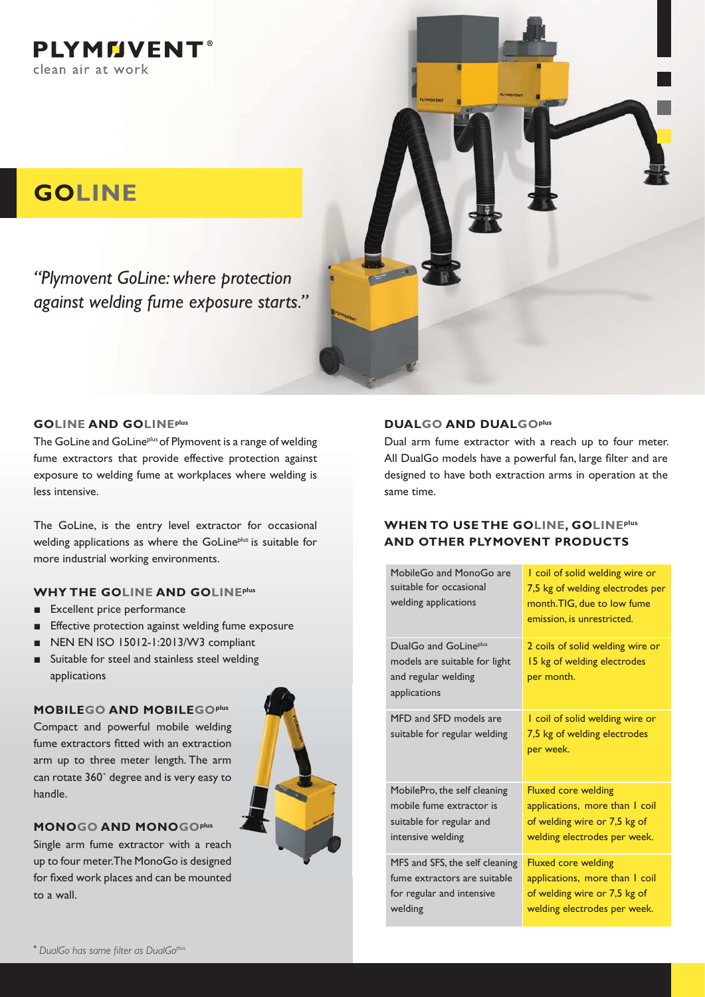**PLYMMVENT®** clean air at work

# **GOLINE**

*"Plymovent GoLine: where protection against welding fume exposure starts."*



#### **GOLINE AND GOLINEplus**

The GoLine and GoLine<sup>plus</sup> of Plymovent is a range of welding fume extractors that provide effective protection against exposure to welding fume at workplaces where welding is less intensive.

The GoLine, is the entry level extractor for occasional welding applications as where the GoLine<sup>plus</sup> is suitable for more industrial working environments.

### **WHY THE GOLINE AND GOLINEplus**

- **Excellent price performance**
- **Effective protection against welding fume exposure**
- $\blacksquare$  NEN EN ISO 15012-1:2013/W3 compliant
- $\blacksquare$  Suitable for steel and stainless steel welding applications

#### **MOBILEGO AND MOBILEGOplus**

Compact and powerful mobile welding fume extractors fitted with an extraction arm up to three meter length. The arm can rotate 360˚ degree and is very easy to handle.



#### **MONOGO AND MONOGOplus**

Single arm fume extractor with a reach up to four meter. The MonoGo is designed for fixed work places and can be mounted to a wall.

#### **DUALGO AND DUALGOplus**

Dual arm fume extractor with a reach up to four meter. All DualGo models have a powerful fan, large filter and are designed to have both extraction arms in operation at the same time.

### **WHEN TO USE THE GOLINE, GOLINEplus AND OTHER PLYMOVENT PRODUCTS**

| MobileGo and MonoGo are<br>suitable for occasional<br>welding applications                                | I coil of solid welding wire or<br>7,5 kg of welding electrodes per<br>month.TIG, due to low fume<br>emission, is unrestricted. |
|-----------------------------------------------------------------------------------------------------------|---------------------------------------------------------------------------------------------------------------------------------|
| DualGo and GoLine <sup>plus</sup><br>models are suitable for light<br>and regular welding<br>applications | 2 coils of solid welding wire or<br>15 kg of welding electrodes<br>per month.                                                   |
| MFD and SFD models are<br>suitable for regular welding                                                    | I coil of solid welding wire or<br>7,5 kg of welding electrodes<br>per week.                                                    |
| MobilePro, the self cleaning<br>mobile fume extractor is<br>suitable for regular and<br>intensive welding | <b>Fluxed core welding</b><br>applications, more than I coil<br>of welding wire or 7,5 kg of<br>welding electrodes per week.    |
| MFS and SFS, the self cleaning<br>fume extractors are suitable<br>for regular and intensive<br>welding    | <b>Fluxed core welding</b><br>applications, more than I coil<br>of welding wire or 7,5 kg of<br>welding electrodes per week.    |